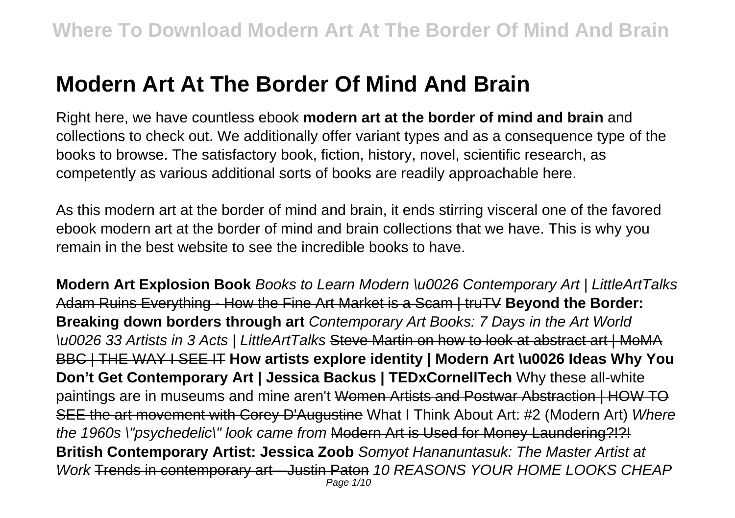# **Modern Art At The Border Of Mind And Brain**

Right here, we have countless ebook **modern art at the border of mind and brain** and collections to check out. We additionally offer variant types and as a consequence type of the books to browse. The satisfactory book, fiction, history, novel, scientific research, as competently as various additional sorts of books are readily approachable here.

As this modern art at the border of mind and brain, it ends stirring visceral one of the favored ebook modern art at the border of mind and brain collections that we have. This is why you remain in the best website to see the incredible books to have.

**Modern Art Explosion Book** Books to Learn Modern \u0026 Contemporary Art | LittleArtTalks Adam Ruins Everything - How the Fine Art Market is a Scam | truTV **Beyond the Border: Breaking down borders through art** Contemporary Art Books: 7 Days in the Art World \u0026 33 Artists in 3 Acts | LittleArtTalks Steve Martin on how to look at abstract art | MoMA BBC | THE WAY I SEE IT **How artists explore identity | Modern Art \u0026 Ideas Why You Don't Get Contemporary Art | Jessica Backus | TEDxCornellTech** Why these all-white paintings are in museums and mine aren't Women Artists and Postwar Abstraction I HOW TO SEE the art movement with Corey D'Augustine What I Think About Art: #2 (Modern Art) Where the 1960s \"psychedelic\" look came from Modern Art is Used for Money Laundering?!?! **British Contemporary Artist: Jessica Zoob** Somyot Hananuntasuk: The Master Artist at Work Trends in contemporary art—Justin Paton 10 REASONS YOUR HOME LOOKS CHEAP Page 1/10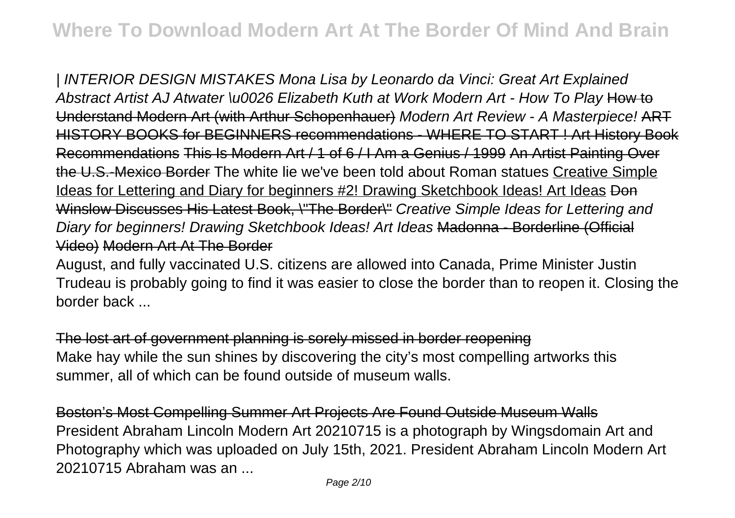| INTERIOR DESIGN MISTAKES Mona Lisa by Leonardo da Vinci: Great Art Explained Abstract Artist AJ Atwater \u0026 Elizabeth Kuth at Work Modern Art - How To Play How to Understand Modern Art (with Arthur Schopenhauer) Modern Art Review - A Masterpiece! ART HISTORY BOOKS for BEGINNERS recommendations - WHERE TO START ! Art History Book Recommendations This Is Modern Art / 1 of 6 / I Am a Genius / 1999 An Artist Painting Over the U.S.-Mexico Border The white lie we've been told about Roman statues Creative Simple Ideas for Lettering and Diary for beginners #2! Drawing Sketchbook Ideas! Art Ideas Don Winslow Discusses His Latest Book, \"The Border\" Creative Simple Ideas for Lettering and Diary for beginners! Drawing Sketchbook Ideas! Art Ideas Madonna - Borderline (Official Video) Modern Art At The Border

August, and fully vaccinated U.S. citizens are allowed into Canada, Prime Minister Justin Trudeau is probably going to find it was easier to close the border than to reopen it. Closing the border back ...

The lost art of government planning is sorely missed in border reopening Make hay while the sun shines by discovering the city's most compelling artworks this summer, all of which can be found outside of museum walls.

Boston's Most Compelling Summer Art Projects Are Found Outside Museum Walls President Abraham Lincoln Modern Art 20210715 is a photograph by Wingsdomain Art and Photography which was uploaded on July 15th, 2021. President Abraham Lincoln Modern Art 20210715 Abraham was an ...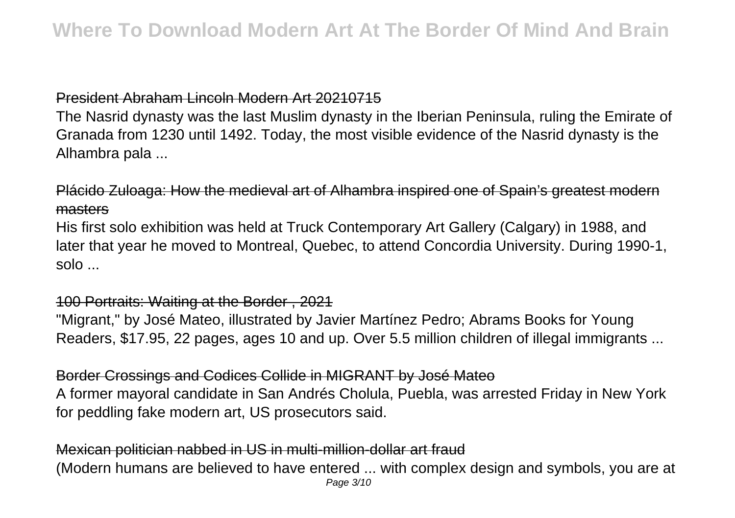## President Abraham Lincoln Modern Art 20210715

The Nasrid dynasty was the last Muslim dynasty in the Iberian Peninsula, ruling the Emirate of Granada from 1230 until 1492. Today, the most visible evidence of the Nasrid dynasty is the Alhambra pala ...

## Plácido Zuloaga: How the medieval art of Alhambra inspired one of Spain's greatest modern masters

His first solo exhibition was held at Truck Contemporary Art Gallery (Calgary) in 1988, and later that year he moved to Montreal, Quebec, to attend Concordia University. During 1990-1, solo ...

#### 100 Portraits: Waiting at the Border , 2021

"Migrant," by José Mateo, illustrated by Javier Martínez Pedro; Abrams Books for Young Readers, \$17.95, 22 pages, ages 10 and up. Over 5.5 million children of illegal immigrants ...

#### Border Crossings and Codices Collide in MIGRANT by José Mateo

A former mayoral candidate in San Andrés Cholula, Puebla, was arrested Friday in New York for peddling fake modern art, US prosecutors said.

#### Mexican politician nabbed in US in multi-million-dollar art fraud (Modern humans are believed to have entered ... with complex design and symbols, you are at Page 3/10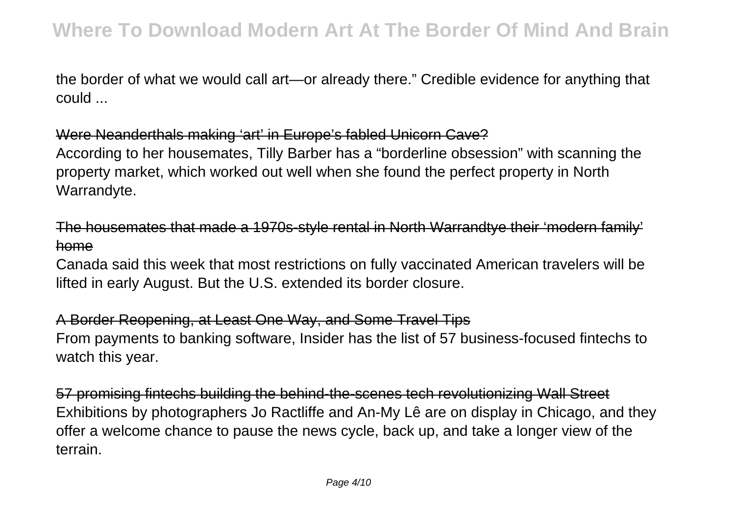the border of what we would call art—or already there." Credible evidence for anything that could ...

Were Neanderthals making 'art' in Europe's fabled Unicorn Cave?

According to her housemates, Tilly Barber has a "borderline obsession" with scanning the property market, which worked out well when she found the perfect property in North Warrandyte.

The housemates that made a 1970s-style rental in North Warrandtye their 'modern family' home

Canada said this week that most restrictions on fully vaccinated American travelers will be lifted in early August. But the U.S. extended its border closure.

A Border Reopening, at Least One Way, and Some Travel Tips From payments to banking software, Insider has the list of 57 business-focused fintechs to watch this year.

57 promising fintechs building the behind-the-scenes tech revolutionizing Wall Street Exhibitions by photographers Jo Ractliffe and An-My Lê are on display in Chicago, and they offer a welcome chance to pause the news cycle, back up, and take a longer view of the terrain.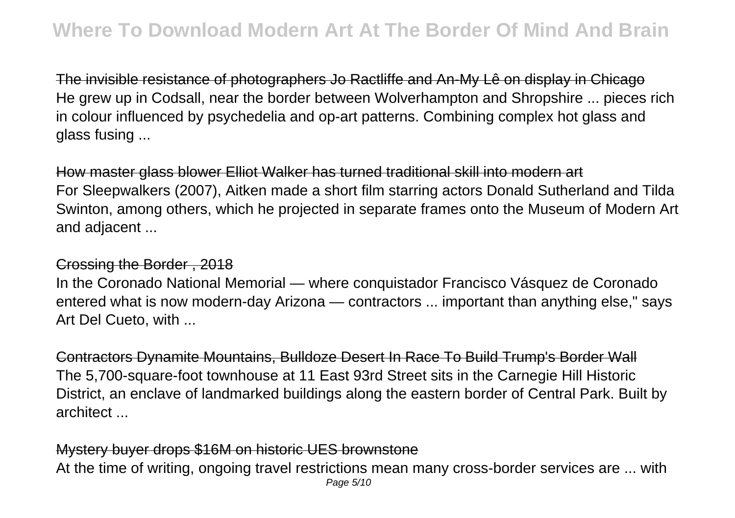The invisible resistance of photographers Jo Ractliffe and An-My Lê on display in Chicago He grew up in Codsall, near the border between Wolverhampton and Shropshire ... pieces rich in colour influenced by psychedelia and op-art patterns. Combining complex hot glass and glass fusing ...

How master glass blower Elliot Walker has turned traditional skill into modern art For Sleepwalkers (2007), Aitken made a short film starring actors Donald Sutherland and Tilda Swinton, among others, which he projected in separate frames onto the Museum of Modern Art and adjacent ...

#### Crossing the Border , 2018

In the Coronado National Memorial — where conquistador Francisco Vásquez de Coronado entered what is now modern-day Arizona — contractors ... important than anything else," says Art Del Cueto, with ...

Contractors Dynamite Mountains, Bulldoze Desert In Race To Build Trump's Border Wall The 5,700-square-foot townhouse at 11 East 93rd Street sits in the Carnegie Hill Historic District, an enclave of landmarked buildings along the eastern border of Central Park. Built by architect ...

#### Mystery buyer drops \$16M on historic UES brownstone

At the time of writing, ongoing travel restrictions mean many cross-border services are ... with Page 5/10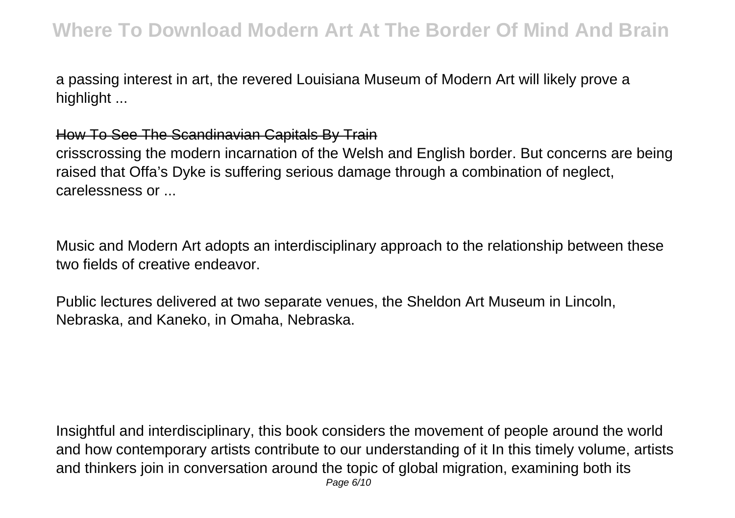a passing interest in art, the revered Louisiana Museum of Modern Art will likely prove a highlight ...

### How To See The Scandinavian Capitals By Train

crisscrossing the modern incarnation of the Welsh and English border. But concerns are being raised that Offa's Dyke is suffering serious damage through a combination of neglect, carelessness or ...

Music and Modern Art adopts an interdisciplinary approach to the relationship between these two fields of creative endeavor.

Public lectures delivered at two separate venues, the Sheldon Art Museum in Lincoln, Nebraska, and Kaneko, in Omaha, Nebraska.

Insightful and interdisciplinary, this book considers the movement of people around the world and how contemporary artists contribute to our understanding of it In this timely volume, artists and thinkers join in conversation around the topic of global migration, examining both its Page 6/10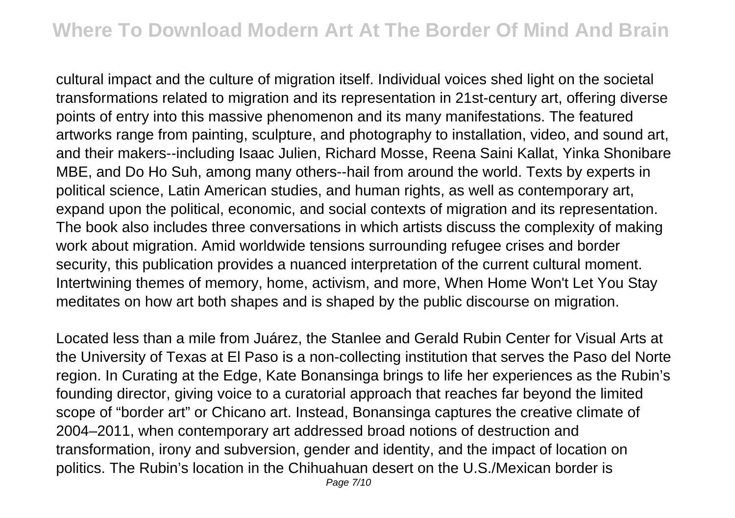cultural impact and the culture of migration itself. Individual voices shed light on the societal transformations related to migration and its representation in 21st-century art, offering diverse points of entry into this massive phenomenon and its many manifestations. The featured artworks range from painting, sculpture, and photography to installation, video, and sound art, and their makers--including Isaac Julien, Richard Mosse, Reena Saini Kallat, Yinka Shonibare MBE, and Do Ho Suh, among many others--hail from around the world. Texts by experts in political science, Latin American studies, and human rights, as well as contemporary art, expand upon the political, economic, and social contexts of migration and its representation. The book also includes three conversations in which artists discuss the complexity of making work about migration. Amid worldwide tensions surrounding refugee crises and border security, this publication provides a nuanced interpretation of the current cultural moment. Intertwining themes of memory, home, activism, and more, When Home Won't Let You Stay meditates on how art both shapes and is shaped by the public discourse on migration.

Located less than a mile from Juárez, the Stanlee and Gerald Rubin Center for Visual Arts at the University of Texas at El Paso is a non-collecting institution that serves the Paso del Norte region. In Curating at the Edge, Kate Bonansinga brings to life her experiences as the Rubin's founding director, giving voice to a curatorial approach that reaches far beyond the limited scope of "border art" or Chicano art. Instead, Bonansinga captures the creative climate of 2004–2011, when contemporary art addressed broad notions of destruction and transformation, irony and subversion, gender and identity, and the impact of location on politics. The Rubin's location in the Chihuahuan desert on the U.S./Mexican border is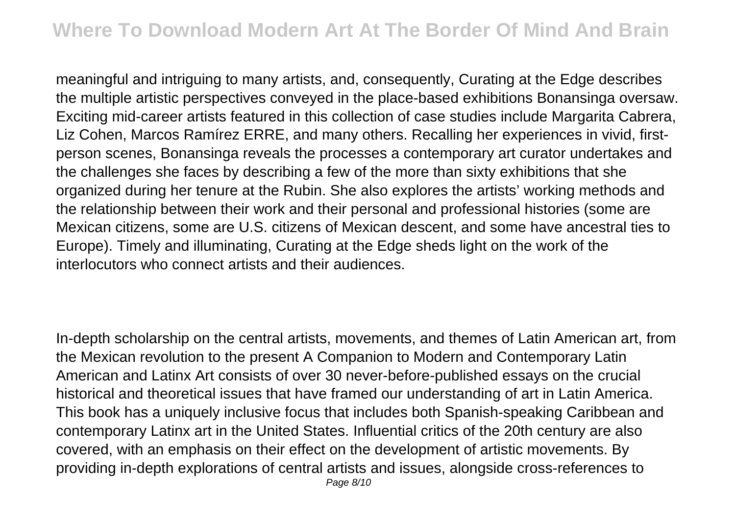meaningful and intriguing to many artists, and, consequently, Curating at the Edge describes the multiple artistic perspectives conveyed in the place-based exhibitions Bonansinga oversaw. Exciting mid-career artists featured in this collection of case studies include Margarita Cabrera, Liz Cohen, Marcos Ramírez ERRE, and many others. Recalling her experiences in vivid, firstperson scenes, Bonansinga reveals the processes a contemporary art curator undertakes and the challenges she faces by describing a few of the more than sixty exhibitions that she organized during her tenure at the Rubin. She also explores the artists' working methods and the relationship between their work and their personal and professional histories (some are Mexican citizens, some are U.S. citizens of Mexican descent, and some have ancestral ties to Europe). Timely and illuminating, Curating at the Edge sheds light on the work of the interlocutors who connect artists and their audiences.

In-depth scholarship on the central artists, movements, and themes of Latin American art, from the Mexican revolution to the present A Companion to Modern and Contemporary Latin American and Latinx Art consists of over 30 never-before-published essays on the crucial historical and theoretical issues that have framed our understanding of art in Latin America. This book has a uniquely inclusive focus that includes both Spanish-speaking Caribbean and contemporary Latinx art in the United States. Influential critics of the 20th century are also covered, with an emphasis on their effect on the development of artistic movements. By providing in-depth explorations of central artists and issues, alongside cross-references to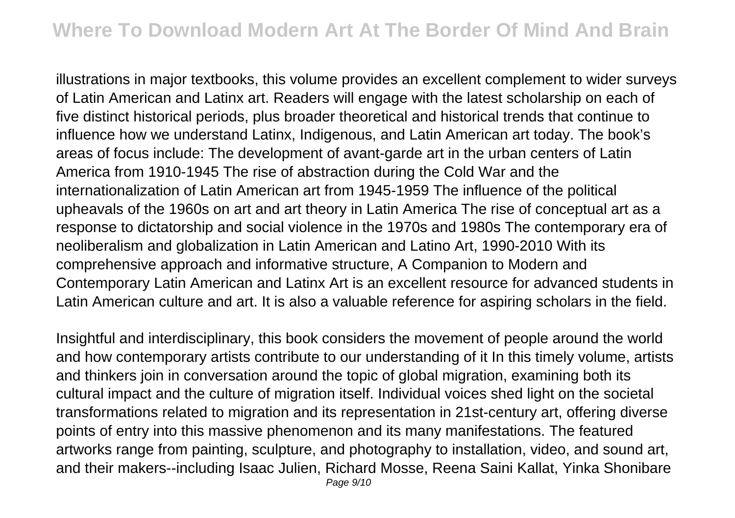illustrations in major textbooks, this volume provides an excellent complement to wider surveys of Latin American and Latinx art. Readers will engage with the latest scholarship on each of five distinct historical periods, plus broader theoretical and historical trends that continue to influence how we understand Latinx, Indigenous, and Latin American art today. The book's areas of focus include: The development of avant-garde art in the urban centers of Latin America from 1910-1945 The rise of abstraction during the Cold War and the internationalization of Latin American art from 1945-1959 The influence of the political upheavals of the 1960s on art and art theory in Latin America The rise of conceptual art as a response to dictatorship and social violence in the 1970s and 1980s The contemporary era of neoliberalism and globalization in Latin American and Latino Art, 1990-2010 With its comprehensive approach and informative structure, A Companion to Modern and Contemporary Latin American and Latinx Art is an excellent resource for advanced students in Latin American culture and art. It is also a valuable reference for aspiring scholars in the field.

Insightful and interdisciplinary, this book considers the movement of people around the world and how contemporary artists contribute to our understanding of it In this timely volume, artists and thinkers join in conversation around the topic of global migration, examining both its cultural impact and the culture of migration itself. Individual voices shed light on the societal transformations related to migration and its representation in 21st-century art, offering diverse points of entry into this massive phenomenon and its many manifestations. The featured artworks range from painting, sculpture, and photography to installation, video, and sound art, and their makers--including Isaac Julien, Richard Mosse, Reena Saini Kallat, Yinka Shonibare